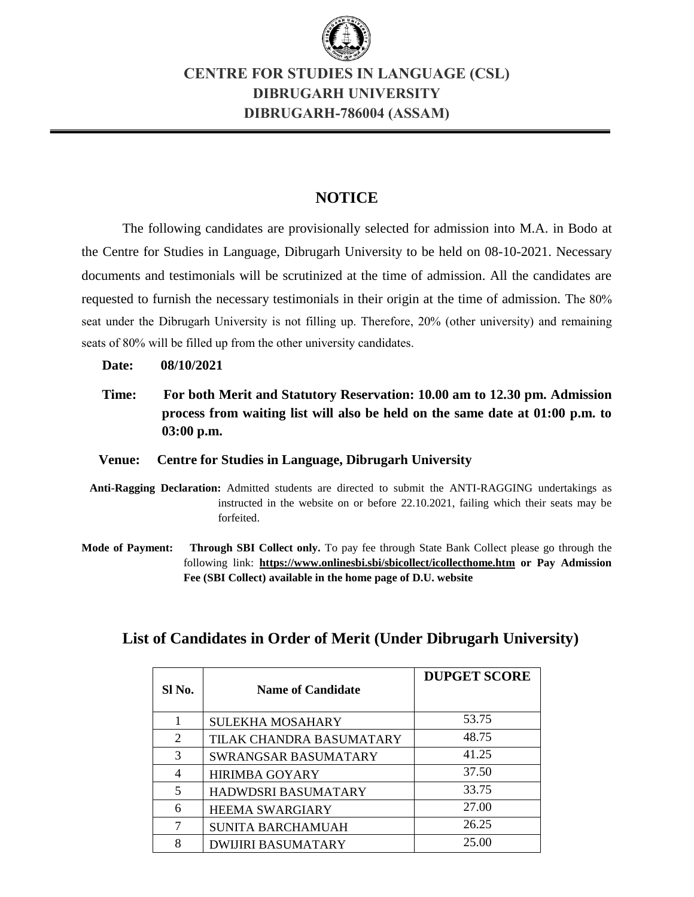

## **CENTRE FOR STUDIES IN LANGUAGE (CSL) DIBRUGARH UNIVERSITY DIBRUGARH-786004 (ASSAM)**

## **NOTICE**

The following candidates are provisionally selected for admission into M.A. in Bodo at the Centre for Studies in Language, Dibrugarh University to be held on 08-10-2021. Necessary documents and testimonials will be scrutinized at the time of admission. All the candidates are requested to furnish the necessary testimonials in their origin at the time of admission. The 80% seat under the Dibrugarh University is not filling up. Therefore, 20% (other university) and remaining seats of 80% will be filled up from the other university candidates.

**Date: 08/10/2021**

 **Time: For both Merit and Statutory Reservation: 10.00 am to 12.30 pm. Admission process from waiting list will also be held on the same date at 01:00 p.m. to 03:00 p.m.**

### **Venue: Centre for Studies in Language, Dibrugarh University**

- **Anti-Ragging Declaration:** Admitted students are directed to submit the ANTI-RAGGING undertakings as instructed in the website on or before 22.10.2021, failing which their seats may be forfeited.
- **Mode of Payment: Through SBI Collect only.** To pay fee through State Bank Collect please go through the following link: **<https://www.onlinesbi.sbi/sbicollect/icollecthome.htm> or Pay Admission Fee (SBI Collect) available in the home page of D.U. website**

|  | List of Candidates in Order of Merit (Under Dibrugarh University) |
|--|-------------------------------------------------------------------|
|--|-------------------------------------------------------------------|

| SI No.         | <b>Name of Candidate</b>  | <b>DUPGET SCORE</b> |
|----------------|---------------------------|---------------------|
| 1              | <b>SULEKHA MOSAHARY</b>   | 53.75               |
| 2              | TILAK CHANDRA BASUMATARY  | 48.75               |
| 3              | SWRANGSAR BASUMATARY      | 41.25               |
| $\overline{4}$ | <b>HIRIMBA GOYARY</b>     | 37.50               |
| 5              | HADWDSRI BASUMATARY       | 33.75               |
| 6              | <b>HEEMA SWARGIARY</b>    | 27.00               |
| 7              | SUNITA BARCHAMUAH         | 26.25               |
| 8              | <b>DWIJIRI BASUMATARY</b> | 25.00               |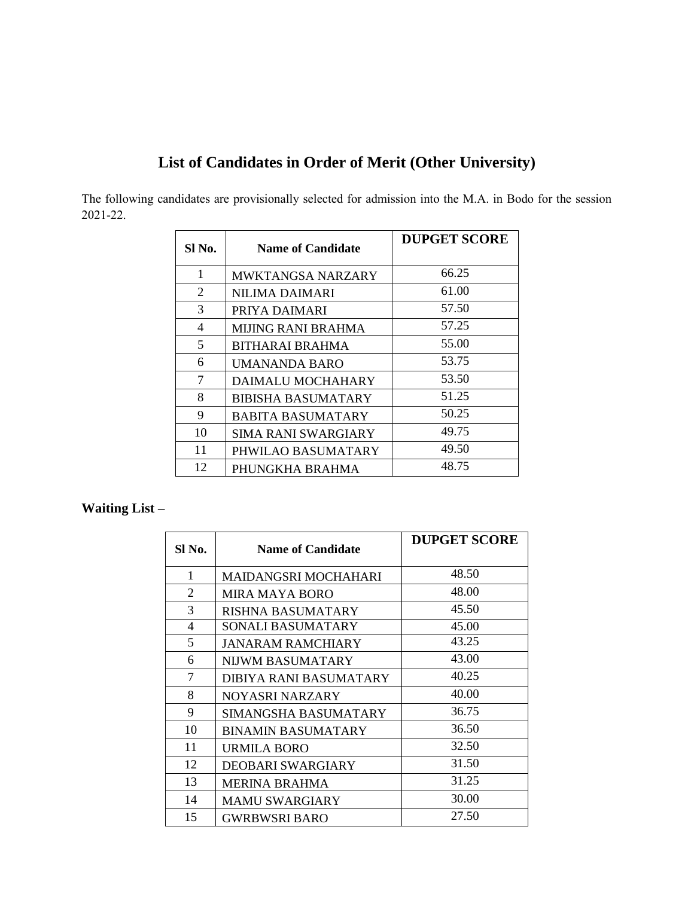# **List of Candidates in Order of Merit (Other University)**

The following candidates are provisionally selected for admission into the M.A. in Bodo for the session 2021-22.

| SI No. | <b>Name of Candidate</b>   | <b>DUPGET SCORE</b> |
|--------|----------------------------|---------------------|
| 1      | <b>MWKTANGSA NARZARY</b>   | 66.25               |
| 2      | NILIMA DAIMARI             | 61.00               |
| 3      | PRIYA DAIMARI              | 57.50               |
| 4      | <b>MIJING RANI BRAHMA</b>  | 57.25               |
| 5      | BITHARAI BRAHMA            | 55.00               |
| 6      | UMANANDA BARO              | 53.75               |
| 7      | DAIMALU MOCHAHARY          | 53.50               |
| 8      | <b>BIBISHA BASUMATARY</b>  | 51.25               |
| 9      | <b>BABITA BASUMATARY</b>   | 50.25               |
| 10     | <b>SIMA RANI SWARGIARY</b> | 49.75               |
| 11     | PHWILAO BASUMATARY         | 49.50               |
| 12     | PHUNGKHA BRAHMA            | 48.75               |

## **Waiting List –**

| SI No.                   | <b>Name of Candidate</b>  | <b>DUPGET SCORE</b> |
|--------------------------|---------------------------|---------------------|
| 1                        | MAIDANGSRI MOCHAHARI      | 48.50               |
| 2                        | <b>MIRA MAYA BORO</b>     | 48.00               |
| 3                        | RISHNA BASUMATARY         | 45.50               |
| $\overline{\mathcal{A}}$ | SONALI BASUMATARY         | 45.00               |
| 5                        | <b>JANARAM RAMCHIARY</b>  | 43.25               |
| 6                        | NIJWM BASUMATARY          | 43.00               |
| 7                        | DIBIYA RANI BASUMATARY    | 40.25               |
| 8                        | NOYASRI NARZARY           | 40.00               |
| 9                        | SIMANGSHA BASUMATARY      | 36.75               |
| 10                       | <b>BINAMIN BASUMATARY</b> | 36.50               |
| 11                       | URMILA BORO               | 32.50               |
| 12                       | DEOBARI SWARGIARY         | 31.50               |
| 13                       | <b>MERINA BRAHMA</b>      | 31.25               |
| 14                       | <b>MAMU SWARGIARY</b>     | 30.00               |
| 15                       | <b>GWRBWSRI BARO</b>      | 27.50               |